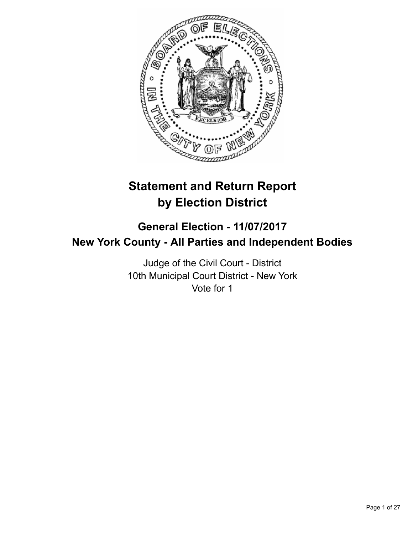

# **Statement and Return Report by Election District**

## **General Election - 11/07/2017 New York County - All Parties and Independent Bodies**

Judge of the Civil Court - District 10th Municipal Court District - New York Vote for 1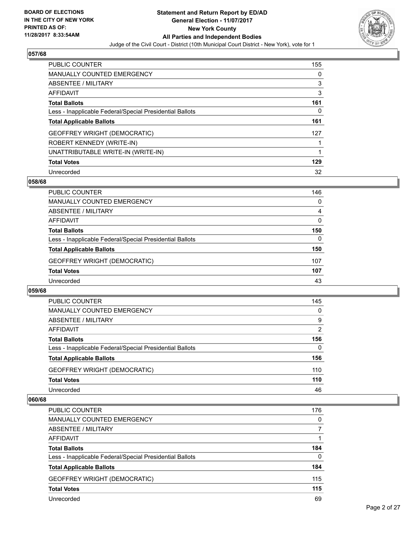

| <b>PUBLIC COUNTER</b>                                    | 155 |
|----------------------------------------------------------|-----|
| MANUALLY COUNTED EMERGENCY                               | 0   |
| ABSENTEE / MILITARY                                      | 3   |
| <b>AFFIDAVIT</b>                                         | 3   |
| <b>Total Ballots</b>                                     | 161 |
| Less - Inapplicable Federal/Special Presidential Ballots | 0   |
| <b>Total Applicable Ballots</b>                          | 161 |
| <b>GEOFFREY WRIGHT (DEMOCRATIC)</b>                      | 127 |
| ROBERT KENNEDY (WRITE-IN)                                |     |
| UNATTRIBUTABLE WRITE-IN (WRITE-IN)                       | 1   |
| <b>Total Votes</b>                                       | 129 |
| Unrecorded                                               | 32  |

#### **058/68**

| <b>PUBLIC COUNTER</b>                                    | 146      |
|----------------------------------------------------------|----------|
| <b>MANUALLY COUNTED EMERGENCY</b>                        | 0        |
| ABSENTEE / MILITARY                                      | 4        |
| AFFIDAVIT                                                | 0        |
| <b>Total Ballots</b>                                     | 150      |
| Less - Inapplicable Federal/Special Presidential Ballots | $\Omega$ |
| <b>Total Applicable Ballots</b>                          | 150      |
| <b>GEOFFREY WRIGHT (DEMOCRATIC)</b>                      | 107      |
| <b>Total Votes</b>                                       | 107      |
| Unrecorded                                               | 43       |

#### **059/68**

| <b>PUBLIC COUNTER</b>                                    | 145            |
|----------------------------------------------------------|----------------|
| MANUALLY COUNTED EMERGENCY                               | 0              |
| ABSENTEE / MILITARY                                      | 9              |
| AFFIDAVIT                                                | $\overline{2}$ |
| <b>Total Ballots</b>                                     | 156            |
| Less - Inapplicable Federal/Special Presidential Ballots | 0              |
| <b>Total Applicable Ballots</b>                          | 156            |
| <b>GEOFFREY WRIGHT (DEMOCRATIC)</b>                      | 110            |
| <b>Total Votes</b>                                       | 110            |
| Unrecorded                                               | 46             |

| <b>PUBLIC COUNTER</b>                                    | 176      |
|----------------------------------------------------------|----------|
| <b>MANUALLY COUNTED EMERGENCY</b>                        | $\Omega$ |
| ABSENTEE / MILITARY                                      |          |
| AFFIDAVIT                                                |          |
| <b>Total Ballots</b>                                     | 184      |
| Less - Inapplicable Federal/Special Presidential Ballots | $\Omega$ |
| <b>Total Applicable Ballots</b>                          | 184      |
| <b>GEOFFREY WRIGHT (DEMOCRATIC)</b>                      | 115      |
| <b>Total Votes</b>                                       | 115      |
| Unrecorded                                               | 69       |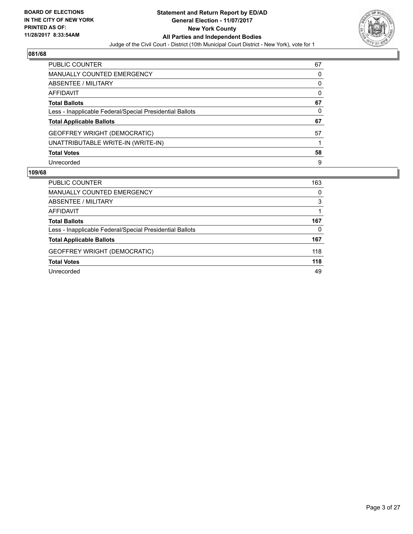

| <b>PUBLIC COUNTER</b>                                    | 67 |
|----------------------------------------------------------|----|
| <b>MANUALLY COUNTED EMERGENCY</b>                        | 0  |
| ABSENTEE / MILITARY                                      | 0  |
| AFFIDAVIT                                                | 0  |
| <b>Total Ballots</b>                                     | 67 |
| Less - Inapplicable Federal/Special Presidential Ballots | 0  |
| <b>Total Applicable Ballots</b>                          | 67 |
| <b>GEOFFREY WRIGHT (DEMOCRATIC)</b>                      | 57 |
| UNATTRIBUTABLE WRITE-IN (WRITE-IN)                       |    |
| <b>Total Votes</b>                                       | 58 |
| Unrecorded                                               | 9  |

| <b>PUBLIC COUNTER</b>                                    | 163 |
|----------------------------------------------------------|-----|
| <b>MANUALLY COUNTED EMERGENCY</b>                        | 0   |
| ABSENTEE / MILITARY                                      | 3   |
| AFFIDAVIT                                                |     |
| <b>Total Ballots</b>                                     | 167 |
| Less - Inapplicable Federal/Special Presidential Ballots | 0   |
| <b>Total Applicable Ballots</b>                          | 167 |
| <b>GEOFFREY WRIGHT (DEMOCRATIC)</b>                      | 118 |
| <b>Total Votes</b>                                       | 118 |
| Unrecorded                                               | 49  |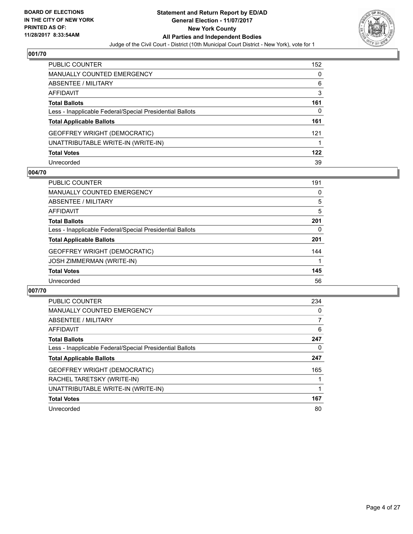

| <b>PUBLIC COUNTER</b>                                    | 152 |
|----------------------------------------------------------|-----|
| <b>MANUALLY COUNTED EMERGENCY</b>                        | 0   |
| ABSENTEE / MILITARY                                      | 6   |
| <b>AFFIDAVIT</b>                                         | 3   |
| <b>Total Ballots</b>                                     | 161 |
| Less - Inapplicable Federal/Special Presidential Ballots | 0   |
| <b>Total Applicable Ballots</b>                          | 161 |
| <b>GEOFFREY WRIGHT (DEMOCRATIC)</b>                      | 121 |
| UNATTRIBUTABLE WRITE-IN (WRITE-IN)                       |     |
| <b>Total Votes</b>                                       | 122 |
| Unrecorded                                               | 39  |

#### **004/70**

| <b>PUBLIC COUNTER</b>                                    | 191 |
|----------------------------------------------------------|-----|
| <b>MANUALLY COUNTED EMERGENCY</b>                        | 0   |
| ABSENTEE / MILITARY                                      | 5   |
| AFFIDAVIT                                                | 5   |
| <b>Total Ballots</b>                                     | 201 |
| Less - Inapplicable Federal/Special Presidential Ballots | 0   |
| <b>Total Applicable Ballots</b>                          | 201 |
| <b>GEOFFREY WRIGHT (DEMOCRATIC)</b>                      | 144 |
| <b>JOSH ZIMMERMAN (WRITE-IN)</b>                         |     |
| <b>Total Votes</b>                                       | 145 |
| Unrecorded                                               | 56  |

| <b>PUBLIC COUNTER</b>                                    | 234 |
|----------------------------------------------------------|-----|
| <b>MANUALLY COUNTED EMERGENCY</b>                        | 0   |
| ABSENTEE / MILITARY                                      | 7   |
| AFFIDAVIT                                                | 6   |
| <b>Total Ballots</b>                                     | 247 |
| Less - Inapplicable Federal/Special Presidential Ballots | 0   |
| <b>Total Applicable Ballots</b>                          | 247 |
| <b>GEOFFREY WRIGHT (DEMOCRATIC)</b>                      | 165 |
| RACHEL TARETSKY (WRITE-IN)                               |     |
| UNATTRIBUTABLE WRITE-IN (WRITE-IN)                       |     |
| <b>Total Votes</b>                                       | 167 |
| Unrecorded                                               | 80  |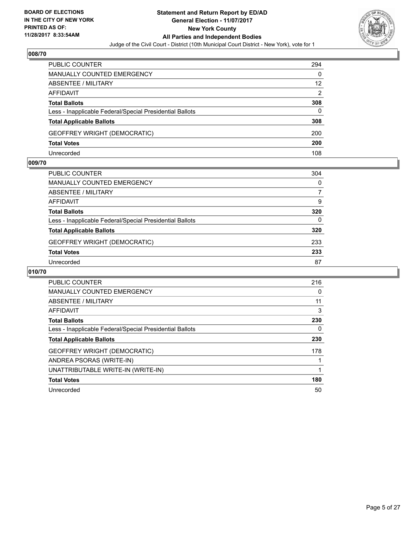

| <b>PUBLIC COUNTER</b>                                    | 294 |
|----------------------------------------------------------|-----|
| MANUALLY COUNTED EMERGENCY                               | 0   |
| ABSENTEE / MILITARY                                      | 12  |
| AFFIDAVIT                                                | 2   |
| <b>Total Ballots</b>                                     | 308 |
| Less - Inapplicable Federal/Special Presidential Ballots | 0   |
| <b>Total Applicable Ballots</b>                          | 308 |
| <b>GEOFFREY WRIGHT (DEMOCRATIC)</b>                      | 200 |
| <b>Total Votes</b>                                       | 200 |
| Unrecorded                                               | 108 |

#### **009/70**

| PUBLIC COUNTER                                           | 304 |
|----------------------------------------------------------|-----|
| <b>MANUALLY COUNTED EMERGENCY</b>                        | 0   |
| ABSENTEE / MILITARY                                      | 7   |
| AFFIDAVIT                                                | 9   |
| <b>Total Ballots</b>                                     | 320 |
| Less - Inapplicable Federal/Special Presidential Ballots | 0   |
| <b>Total Applicable Ballots</b>                          | 320 |
| <b>GEOFFREY WRIGHT (DEMOCRATIC)</b>                      | 233 |
| <b>Total Votes</b>                                       | 233 |
| Unrecorded                                               | 87  |

| <b>PUBLIC COUNTER</b>                                    | 216 |
|----------------------------------------------------------|-----|
| <b>MANUALLY COUNTED EMERGENCY</b>                        | 0   |
| <b>ABSENTEE / MILITARY</b>                               | 11  |
| <b>AFFIDAVIT</b>                                         | 3   |
| <b>Total Ballots</b>                                     | 230 |
| Less - Inapplicable Federal/Special Presidential Ballots | 0   |
| <b>Total Applicable Ballots</b>                          | 230 |
| <b>GEOFFREY WRIGHT (DEMOCRATIC)</b>                      | 178 |
| ANDREA PSORAS (WRITE-IN)                                 |     |
| UNATTRIBUTABLE WRITE-IN (WRITE-IN)                       |     |
| <b>Total Votes</b>                                       | 180 |
| Unrecorded                                               | 50  |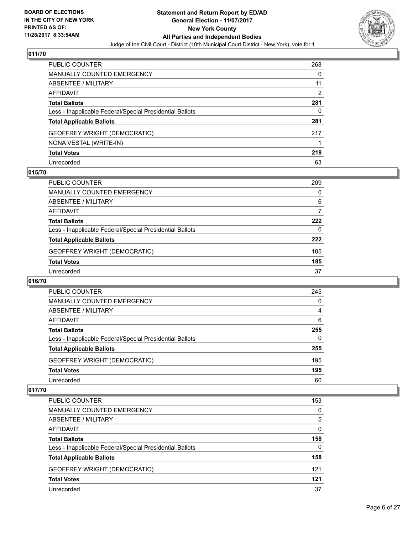

| <b>PUBLIC COUNTER</b>                                    | 268 |
|----------------------------------------------------------|-----|
| <b>MANUALLY COUNTED EMERGENCY</b>                        | 0   |
| <b>ABSENTEE / MILITARY</b>                               | 11  |
| <b>AFFIDAVIT</b>                                         | 2   |
| <b>Total Ballots</b>                                     | 281 |
| Less - Inapplicable Federal/Special Presidential Ballots | 0   |
| <b>Total Applicable Ballots</b>                          | 281 |
| <b>GEOFFREY WRIGHT (DEMOCRATIC)</b>                      | 217 |
| NONA VESTAL (WRITE-IN)                                   |     |
| <b>Total Votes</b>                                       | 218 |
| Unrecorded                                               | 63  |

#### **015/70**

| <b>PUBLIC COUNTER</b>                                    | 209 |
|----------------------------------------------------------|-----|
| MANUALLY COUNTED EMERGENCY                               | 0   |
| ABSENTEE / MILITARY                                      | 6   |
| AFFIDAVIT                                                |     |
| <b>Total Ballots</b>                                     | 222 |
| Less - Inapplicable Federal/Special Presidential Ballots | 0   |
| <b>Total Applicable Ballots</b>                          | 222 |
| <b>GEOFFREY WRIGHT (DEMOCRATIC)</b>                      | 185 |
| <b>Total Votes</b>                                       | 185 |
| Unrecorded                                               | 37  |

#### **016/70**

| PUBLIC COUNTER                                           | 245 |
|----------------------------------------------------------|-----|
| <b>MANUALLY COUNTED EMERGENCY</b>                        | 0   |
| <b>ABSENTEE / MILITARY</b>                               | 4   |
| AFFIDAVIT                                                | 6   |
| <b>Total Ballots</b>                                     | 255 |
| Less - Inapplicable Federal/Special Presidential Ballots | 0   |
| <b>Total Applicable Ballots</b>                          | 255 |
| <b>GEOFFREY WRIGHT (DEMOCRATIC)</b>                      | 195 |
| <b>Total Votes</b>                                       | 195 |
| Unrecorded                                               | 60  |

| <b>PUBLIC COUNTER</b>                                    | 153 |
|----------------------------------------------------------|-----|
| <b>MANUALLY COUNTED EMERGENCY</b>                        | 0   |
| ABSENTEE / MILITARY                                      | 5   |
| AFFIDAVIT                                                | 0   |
| <b>Total Ballots</b>                                     | 158 |
| Less - Inapplicable Federal/Special Presidential Ballots | 0   |
| <b>Total Applicable Ballots</b>                          | 158 |
| <b>GEOFFREY WRIGHT (DEMOCRATIC)</b>                      | 121 |
| <b>Total Votes</b>                                       | 121 |
| Unrecorded                                               | 37  |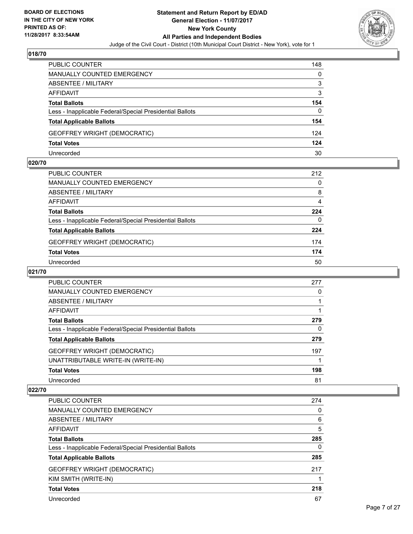

| <b>PUBLIC COUNTER</b>                                    | 148 |
|----------------------------------------------------------|-----|
| MANUALLY COUNTED EMERGENCY                               | 0   |
| ABSENTEE / MILITARY                                      | 3   |
| AFFIDAVIT                                                | 3   |
| <b>Total Ballots</b>                                     | 154 |
| Less - Inapplicable Federal/Special Presidential Ballots | 0   |
| <b>Total Applicable Ballots</b>                          | 154 |
| <b>GEOFFREY WRIGHT (DEMOCRATIC)</b>                      | 124 |
| <b>Total Votes</b>                                       | 124 |
| Unrecorded                                               | 30  |

#### **020/70**

| PUBLIC COUNTER                                           | 212 |
|----------------------------------------------------------|-----|
| <b>MANUALLY COUNTED EMERGENCY</b>                        | 0   |
| ABSENTEE / MILITARY                                      | 8   |
| AFFIDAVIT                                                | 4   |
| <b>Total Ballots</b>                                     | 224 |
| Less - Inapplicable Federal/Special Presidential Ballots | 0   |
| <b>Total Applicable Ballots</b>                          | 224 |
| <b>GEOFFREY WRIGHT (DEMOCRATIC)</b>                      | 174 |
| <b>Total Votes</b>                                       | 174 |
| Unrecorded                                               | 50  |

#### **021/70**

| <b>PUBLIC COUNTER</b>                                    | 277 |
|----------------------------------------------------------|-----|
| <b>MANUALLY COUNTED EMERGENCY</b>                        | 0   |
| ABSENTEE / MILITARY                                      |     |
| AFFIDAVIT                                                |     |
| <b>Total Ballots</b>                                     | 279 |
| Less - Inapplicable Federal/Special Presidential Ballots | 0   |
| <b>Total Applicable Ballots</b>                          | 279 |
| <b>GEOFFREY WRIGHT (DEMOCRATIC)</b>                      | 197 |
| UNATTRIBUTABLE WRITE-IN (WRITE-IN)                       |     |
| <b>Total Votes</b>                                       | 198 |
| Unrecorded                                               | 81  |

| <b>PUBLIC COUNTER</b>                                    | 274 |
|----------------------------------------------------------|-----|
| <b>MANUALLY COUNTED EMERGENCY</b>                        | 0   |
| ABSENTEE / MILITARY                                      | 6   |
| AFFIDAVIT                                                | 5   |
| <b>Total Ballots</b>                                     | 285 |
| Less - Inapplicable Federal/Special Presidential Ballots | 0   |
| <b>Total Applicable Ballots</b>                          | 285 |
| <b>GEOFFREY WRIGHT (DEMOCRATIC)</b>                      | 217 |
| KIM SMITH (WRITE-IN)                                     |     |
| <b>Total Votes</b>                                       | 218 |
| Unrecorded                                               | 67  |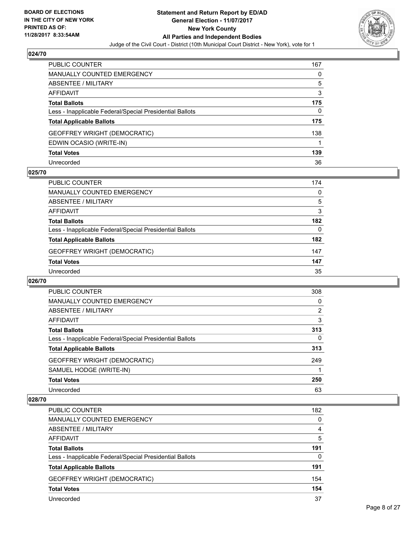

| PUBLIC COUNTER                                           | 167 |
|----------------------------------------------------------|-----|
| <b>MANUALLY COUNTED EMERGENCY</b>                        | 0   |
| <b>ABSENTEE / MILITARY</b>                               | 5   |
| AFFIDAVIT                                                | 3   |
| <b>Total Ballots</b>                                     | 175 |
| Less - Inapplicable Federal/Special Presidential Ballots | 0   |
| <b>Total Applicable Ballots</b>                          | 175 |
| GEOFFREY WRIGHT (DEMOCRATIC)                             | 138 |
| EDWIN OCASIO (WRITE-IN)                                  |     |
| <b>Total Votes</b>                                       | 139 |
| Unrecorded                                               | 36  |

#### **025/70**

| <b>PUBLIC COUNTER</b>                                    | 174 |
|----------------------------------------------------------|-----|
| MANUALLY COUNTED EMERGENCY                               | 0   |
| ABSENTEE / MILITARY                                      | 5   |
| AFFIDAVIT                                                | 3   |
| <b>Total Ballots</b>                                     | 182 |
| Less - Inapplicable Federal/Special Presidential Ballots | 0   |
| <b>Total Applicable Ballots</b>                          | 182 |
| <b>GEOFFREY WRIGHT (DEMOCRATIC)</b>                      | 147 |
| <b>Total Votes</b>                                       | 147 |
| Unrecorded                                               | 35  |

#### **026/70**

| <b>PUBLIC COUNTER</b>                                    | 308            |
|----------------------------------------------------------|----------------|
| MANUALLY COUNTED EMERGENCY                               | 0              |
| ABSENTEE / MILITARY                                      | $\overline{2}$ |
| AFFIDAVIT                                                | 3              |
| <b>Total Ballots</b>                                     | 313            |
| Less - Inapplicable Federal/Special Presidential Ballots | 0              |
| <b>Total Applicable Ballots</b>                          | 313            |
| <b>GEOFFREY WRIGHT (DEMOCRATIC)</b>                      | 249            |
| SAMUEL HODGE (WRITE-IN)                                  |                |
| <b>Total Votes</b>                                       | 250            |
| Unrecorded                                               | 63             |

| <b>PUBLIC COUNTER</b>                                    | 182 |
|----------------------------------------------------------|-----|
| MANUALLY COUNTED EMERGENCY                               | 0   |
| ABSENTEE / MILITARY                                      | 4   |
| AFFIDAVIT                                                | 5   |
| <b>Total Ballots</b>                                     | 191 |
| Less - Inapplicable Federal/Special Presidential Ballots | 0   |
| <b>Total Applicable Ballots</b>                          | 191 |
| <b>GEOFFREY WRIGHT (DEMOCRATIC)</b>                      | 154 |
| <b>Total Votes</b>                                       | 154 |
| Unrecorded                                               | 37  |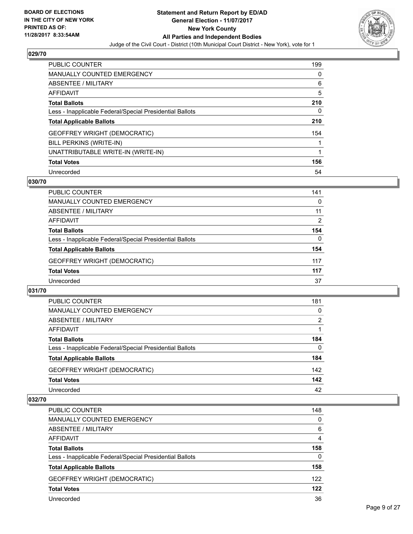

| <b>PUBLIC COUNTER</b>                                    | 199 |
|----------------------------------------------------------|-----|
| <b>MANUALLY COUNTED EMERGENCY</b>                        | 0   |
| ABSENTEE / MILITARY                                      | 6   |
| AFFIDAVIT                                                | 5   |
| <b>Total Ballots</b>                                     | 210 |
| Less - Inapplicable Federal/Special Presidential Ballots | 0   |
| <b>Total Applicable Ballots</b>                          | 210 |
| <b>GEOFFREY WRIGHT (DEMOCRATIC)</b>                      | 154 |
| BILL PERKINS (WRITE-IN)                                  |     |
| UNATTRIBUTABLE WRITE-IN (WRITE-IN)                       |     |
| <b>Total Votes</b>                                       | 156 |
| Unrecorded                                               | 54  |

#### **030/70**

| PUBLIC COUNTER                                           | 141      |
|----------------------------------------------------------|----------|
| MANUALLY COUNTED EMERGENCY                               | 0        |
| ABSENTEE / MILITARY                                      | 11       |
| AFFIDAVIT                                                | 2        |
| <b>Total Ballots</b>                                     | 154      |
| Less - Inapplicable Federal/Special Presidential Ballots | $\Omega$ |
| <b>Total Applicable Ballots</b>                          | 154      |
| <b>GEOFFREY WRIGHT (DEMOCRATIC)</b>                      | 117      |
| <b>Total Votes</b>                                       | 117      |
| Unrecorded                                               | 37       |

#### **031/70**

| <b>PUBLIC COUNTER</b>                                    | 181 |
|----------------------------------------------------------|-----|
| MANUALLY COUNTED EMERGENCY                               | 0   |
| ABSENTEE / MILITARY                                      | 2   |
| AFFIDAVIT                                                |     |
| <b>Total Ballots</b>                                     | 184 |
| Less - Inapplicable Federal/Special Presidential Ballots | 0   |
| <b>Total Applicable Ballots</b>                          | 184 |
| <b>GEOFFREY WRIGHT (DEMOCRATIC)</b>                      | 142 |
| <b>Total Votes</b>                                       | 142 |
| Unrecorded                                               | 42  |

| <b>PUBLIC COUNTER</b>                                    | 148 |
|----------------------------------------------------------|-----|
| MANUALLY COUNTED EMERGENCY                               | 0   |
| ABSENTEE / MILITARY                                      | 6   |
| AFFIDAVIT                                                | 4   |
| <b>Total Ballots</b>                                     | 158 |
| Less - Inapplicable Federal/Special Presidential Ballots | 0   |
| <b>Total Applicable Ballots</b>                          | 158 |
| <b>GEOFFREY WRIGHT (DEMOCRATIC)</b>                      | 122 |
| <b>Total Votes</b>                                       | 122 |
| Unrecorded                                               | 36  |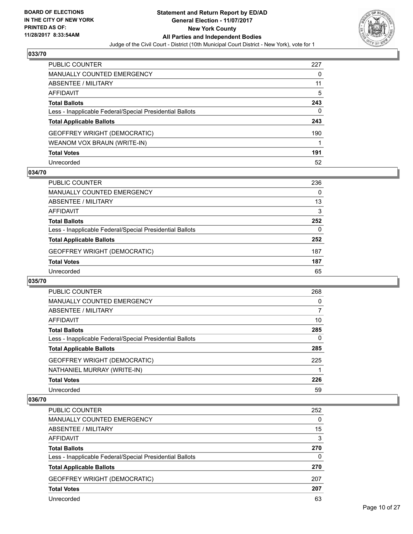

| PUBLIC COUNTER                                           | 227 |
|----------------------------------------------------------|-----|
| <b>MANUALLY COUNTED EMERGENCY</b>                        | 0   |
| ABSENTEE / MILITARY                                      | 11  |
| <b>AFFIDAVIT</b>                                         | 5   |
| <b>Total Ballots</b>                                     | 243 |
| Less - Inapplicable Federal/Special Presidential Ballots | 0   |
| <b>Total Applicable Ballots</b>                          | 243 |
| <b>GEOFFREY WRIGHT (DEMOCRATIC)</b>                      | 190 |
| WEANOM VOX BRAUN (WRITE-IN)                              |     |
| <b>Total Votes</b>                                       | 191 |
| Unrecorded                                               | 52  |

#### **034/70**

| <b>PUBLIC COUNTER</b>                                    | 236 |
|----------------------------------------------------------|-----|
| MANUALLY COUNTED EMERGENCY                               | 0   |
| ABSENTEE / MILITARY                                      | 13  |
| AFFIDAVIT                                                | 3   |
| <b>Total Ballots</b>                                     | 252 |
| Less - Inapplicable Federal/Special Presidential Ballots | 0   |
| <b>Total Applicable Ballots</b>                          | 252 |
| <b>GEOFFREY WRIGHT (DEMOCRATIC)</b>                      | 187 |
| <b>Total Votes</b>                                       | 187 |
| Unrecorded                                               | 65  |

#### **035/70**

| <b>PUBLIC COUNTER</b>                                    | 268 |
|----------------------------------------------------------|-----|
| MANUALLY COUNTED EMERGENCY                               | 0   |
| ABSENTEE / MILITARY                                      | 7   |
| AFFIDAVIT                                                | 10  |
| <b>Total Ballots</b>                                     | 285 |
| Less - Inapplicable Federal/Special Presidential Ballots | 0   |
| <b>Total Applicable Ballots</b>                          | 285 |
| <b>GEOFFREY WRIGHT (DEMOCRATIC)</b>                      | 225 |
| NATHANIEL MURRAY (WRITE-IN)                              |     |
| <b>Total Votes</b>                                       | 226 |
| Unrecorded                                               | 59  |

| <b>PUBLIC COUNTER</b>                                    | 252 |
|----------------------------------------------------------|-----|
| MANUALLY COUNTED EMERGENCY                               | 0   |
| ABSENTEE / MILITARY                                      | 15  |
| AFFIDAVIT                                                | 3   |
| <b>Total Ballots</b>                                     | 270 |
| Less - Inapplicable Federal/Special Presidential Ballots | 0   |
| <b>Total Applicable Ballots</b>                          | 270 |
| <b>GEOFFREY WRIGHT (DEMOCRATIC)</b>                      | 207 |
| <b>Total Votes</b>                                       | 207 |
| Unrecorded                                               | 63  |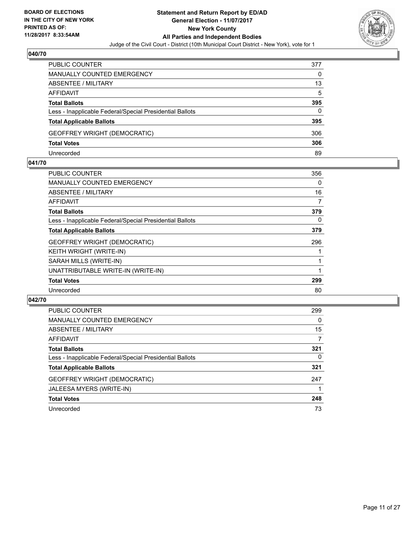

| <b>PUBLIC COUNTER</b>                                    | 377 |
|----------------------------------------------------------|-----|
| MANUALLY COUNTED EMERGENCY                               | 0   |
| ABSENTEE / MILITARY                                      | 13  |
| AFFIDAVIT                                                | 5   |
| <b>Total Ballots</b>                                     | 395 |
| Less - Inapplicable Federal/Special Presidential Ballots | 0   |
| <b>Total Applicable Ballots</b>                          | 395 |
| <b>GEOFFREY WRIGHT (DEMOCRATIC)</b>                      | 306 |
| <b>Total Votes</b>                                       | 306 |
| Unrecorded                                               | 89  |

#### **041/70**

| <b>PUBLIC COUNTER</b>                                    | 356 |
|----------------------------------------------------------|-----|
| <b>MANUALLY COUNTED EMERGENCY</b>                        | 0   |
| ABSENTEE / MILITARY                                      | 16  |
| AFFIDAVIT                                                | 7   |
| <b>Total Ballots</b>                                     | 379 |
| Less - Inapplicable Federal/Special Presidential Ballots | 0   |
| <b>Total Applicable Ballots</b>                          | 379 |
| <b>GEOFFREY WRIGHT (DEMOCRATIC)</b>                      | 296 |
| KEITH WRIGHT (WRITE-IN)                                  |     |
| SARAH MILLS (WRITE-IN)                                   |     |
| UNATTRIBUTABLE WRITE-IN (WRITE-IN)                       |     |
| <b>Total Votes</b>                                       | 299 |
| Unrecorded                                               | 80  |
|                                                          |     |

| <b>PUBLIC COUNTER</b>                                    | 299 |
|----------------------------------------------------------|-----|
| MANUALLY COUNTED EMERGENCY                               | 0   |
| ABSENTEE / MILITARY                                      | 15  |
| AFFIDAVIT                                                | 7   |
| <b>Total Ballots</b>                                     | 321 |
| Less - Inapplicable Federal/Special Presidential Ballots | 0   |
| <b>Total Applicable Ballots</b>                          | 321 |
| <b>GEOFFREY WRIGHT (DEMOCRATIC)</b>                      | 247 |
| JALEESA MYERS (WRITE-IN)                                 |     |
| <b>Total Votes</b>                                       | 248 |
| Unrecorded                                               | 73  |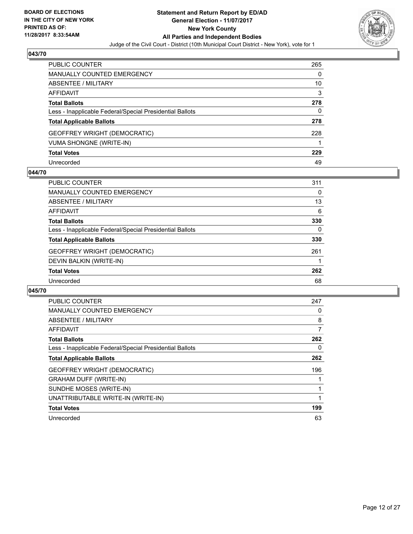

| <b>PUBLIC COUNTER</b>                                    | 265 |
|----------------------------------------------------------|-----|
| <b>MANUALLY COUNTED EMERGENCY</b>                        | 0   |
| <b>ABSENTEE / MILITARY</b>                               | 10  |
| <b>AFFIDAVIT</b>                                         | 3   |
| <b>Total Ballots</b>                                     | 278 |
| Less - Inapplicable Federal/Special Presidential Ballots | 0   |
| <b>Total Applicable Ballots</b>                          | 278 |
| GEOFFREY WRIGHT (DEMOCRATIC)                             | 228 |
| <b>VUMA SHONGNE (WRITE-IN)</b>                           |     |
| <b>Total Votes</b>                                       | 229 |
| Unrecorded                                               | 49  |

#### **044/70**

| <b>PUBLIC COUNTER</b>                                    | 311 |
|----------------------------------------------------------|-----|
| MANUALLY COUNTED EMERGENCY                               | 0   |
| ABSENTEE / MILITARY                                      | 13  |
| AFFIDAVIT                                                | 6   |
| <b>Total Ballots</b>                                     | 330 |
| Less - Inapplicable Federal/Special Presidential Ballots | 0   |
| <b>Total Applicable Ballots</b>                          | 330 |
| <b>GEOFFREY WRIGHT (DEMOCRATIC)</b>                      | 261 |
| DEVIN BALKIN (WRITE-IN)                                  |     |
| <b>Total Votes</b>                                       | 262 |
| Unrecorded                                               | 68  |

| PUBLIC COUNTER                                           | 247 |
|----------------------------------------------------------|-----|
| <b>MANUALLY COUNTED EMERGENCY</b>                        | 0   |
| ABSENTEE / MILITARY                                      | 8   |
| AFFIDAVIT                                                | 7   |
| <b>Total Ballots</b>                                     | 262 |
| Less - Inapplicable Federal/Special Presidential Ballots | 0   |
| <b>Total Applicable Ballots</b>                          | 262 |
| <b>GEOFFREY WRIGHT (DEMOCRATIC)</b>                      | 196 |
| <b>GRAHAM DUFF (WRITE-IN)</b>                            |     |
| SUNDHE MOSES (WRITE-IN)                                  | 1   |
| UNATTRIBUTABLE WRITE-IN (WRITE-IN)                       | 1   |
| <b>Total Votes</b>                                       | 199 |
| Unrecorded                                               | 63  |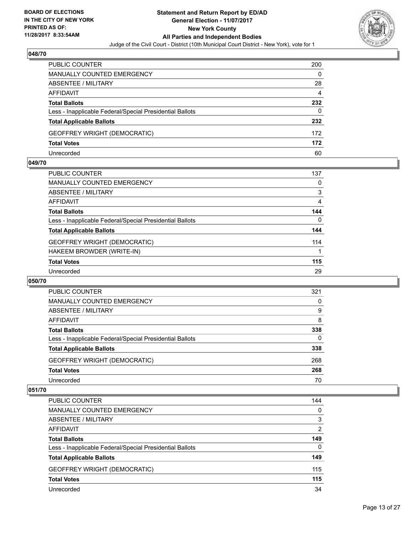

| <b>PUBLIC COUNTER</b>                                    | 200 |
|----------------------------------------------------------|-----|
| <b>MANUALLY COUNTED EMERGENCY</b>                        | 0   |
| ABSENTEE / MILITARY                                      | 28  |
| AFFIDAVIT                                                | 4   |
| <b>Total Ballots</b>                                     | 232 |
| Less - Inapplicable Federal/Special Presidential Ballots | 0   |
| <b>Total Applicable Ballots</b>                          | 232 |
| <b>GEOFFREY WRIGHT (DEMOCRATIC)</b>                      | 172 |
| <b>Total Votes</b>                                       | 172 |
| Unrecorded                                               | 60  |

#### **049/70**

| <b>PUBLIC COUNTER</b>                                    | 137 |
|----------------------------------------------------------|-----|
| <b>MANUALLY COUNTED EMERGENCY</b>                        | 0   |
| ABSENTEE / MILITARY                                      | 3   |
| AFFIDAVIT                                                | 4   |
| <b>Total Ballots</b>                                     | 144 |
| Less - Inapplicable Federal/Special Presidential Ballots | 0   |
| <b>Total Applicable Ballots</b>                          | 144 |
| <b>GEOFFREY WRIGHT (DEMOCRATIC)</b>                      | 114 |
| HAKEEM BROWDER (WRITE-IN)                                |     |
| <b>Total Votes</b>                                       | 115 |
| Unrecorded                                               | 29  |
|                                                          |     |

#### **050/70**

| <b>PUBLIC COUNTER</b>                                    | 321      |
|----------------------------------------------------------|----------|
| <b>MANUALLY COUNTED EMERGENCY</b>                        | 0        |
| ABSENTEE / MILITARY                                      | 9        |
| AFFIDAVIT                                                | 8        |
| <b>Total Ballots</b>                                     | 338      |
| Less - Inapplicable Federal/Special Presidential Ballots | $\Omega$ |
| <b>Total Applicable Ballots</b>                          | 338      |
| <b>GEOFFREY WRIGHT (DEMOCRATIC)</b>                      | 268      |
| <b>Total Votes</b>                                       | 268      |
| Unrecorded                                               | 70       |

| <b>PUBLIC COUNTER</b>                                    | 144            |
|----------------------------------------------------------|----------------|
| <b>MANUALLY COUNTED EMERGENCY</b>                        | 0              |
| ABSENTEE / MILITARY                                      | 3              |
| AFFIDAVIT                                                | $\overline{2}$ |
| <b>Total Ballots</b>                                     | 149            |
| Less - Inapplicable Federal/Special Presidential Ballots | $\Omega$       |
| <b>Total Applicable Ballots</b>                          | 149            |
| <b>GEOFFREY WRIGHT (DEMOCRATIC)</b>                      | 115            |
| <b>Total Votes</b>                                       | 115            |
| Unrecorded                                               | 34             |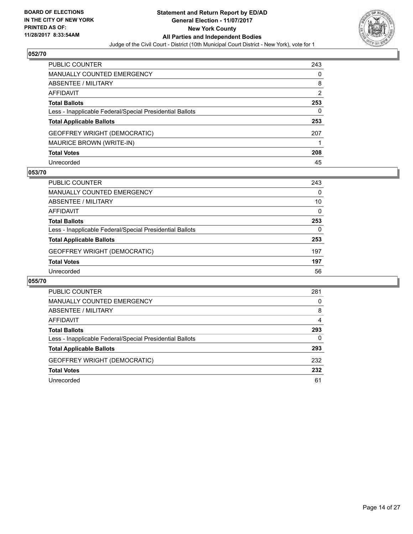

| <b>PUBLIC COUNTER</b>                                    | 243 |
|----------------------------------------------------------|-----|
| <b>MANUALLY COUNTED EMERGENCY</b>                        | 0   |
| <b>ABSENTEE / MILITARY</b>                               | 8   |
| <b>AFFIDAVIT</b>                                         | 2   |
| <b>Total Ballots</b>                                     | 253 |
| Less - Inapplicable Federal/Special Presidential Ballots | 0   |
| <b>Total Applicable Ballots</b>                          | 253 |
| <b>GEOFFREY WRIGHT (DEMOCRATIC)</b>                      | 207 |
| <b>MAURICE BROWN (WRITE-IN)</b>                          |     |
| <b>Total Votes</b>                                       | 208 |
| Unrecorded                                               | 45  |

#### **053/70**

| <b>PUBLIC COUNTER</b>                                    | 243 |
|----------------------------------------------------------|-----|
| <b>MANUALLY COUNTED EMERGENCY</b>                        | 0   |
| ABSENTEE / MILITARY                                      | 10  |
| AFFIDAVIT                                                | 0   |
| <b>Total Ballots</b>                                     | 253 |
| Less - Inapplicable Federal/Special Presidential Ballots | 0   |
| <b>Total Applicable Ballots</b>                          | 253 |
| <b>GEOFFREY WRIGHT (DEMOCRATIC)</b>                      | 197 |
| <b>Total Votes</b>                                       | 197 |
| Unrecorded                                               | 56  |

| PUBLIC COUNTER                                           | 281 |
|----------------------------------------------------------|-----|
| <b>MANUALLY COUNTED EMERGENCY</b>                        | 0   |
| ABSENTEE / MILITARY                                      | 8   |
| AFFIDAVIT                                                | 4   |
| <b>Total Ballots</b>                                     | 293 |
| Less - Inapplicable Federal/Special Presidential Ballots | 0   |
| <b>Total Applicable Ballots</b>                          | 293 |
| <b>GEOFFREY WRIGHT (DEMOCRATIC)</b>                      | 232 |
| <b>Total Votes</b>                                       | 232 |
| Unrecorded                                               | 61  |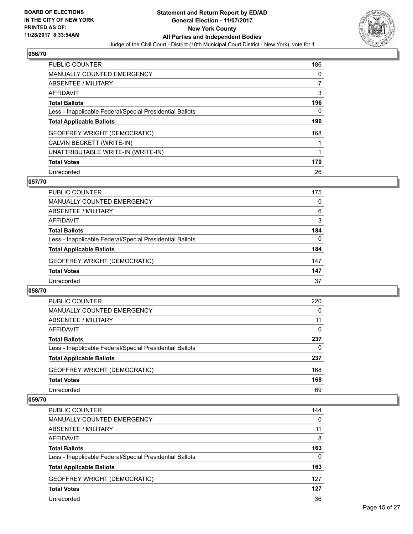

| <b>PUBLIC COUNTER</b>                                    | 186 |
|----------------------------------------------------------|-----|
| <b>MANUALLY COUNTED EMERGENCY</b>                        | 0   |
| ABSENTEE / MILITARY                                      |     |
| AFFIDAVIT                                                | 3   |
| <b>Total Ballots</b>                                     | 196 |
| Less - Inapplicable Federal/Special Presidential Ballots | 0   |
| <b>Total Applicable Ballots</b>                          | 196 |
| <b>GEOFFREY WRIGHT (DEMOCRATIC)</b>                      | 168 |
| CALVIN BECKETT (WRITE-IN)                                |     |
| UNATTRIBUTABLE WRITE-IN (WRITE-IN)                       |     |
| <b>Total Votes</b>                                       | 170 |
| Unrecorded                                               | 26  |

#### **057/70**

| <b>PUBLIC COUNTER</b>                                    | 175      |
|----------------------------------------------------------|----------|
| MANUALLY COUNTED EMERGENCY                               | 0        |
| ABSENTEE / MILITARY                                      | 6        |
| AFFIDAVIT                                                | 3        |
| <b>Total Ballots</b>                                     | 184      |
| Less - Inapplicable Federal/Special Presidential Ballots | $\Omega$ |
| <b>Total Applicable Ballots</b>                          | 184      |
| <b>GEOFFREY WRIGHT (DEMOCRATIC)</b>                      | 147      |
| <b>Total Votes</b>                                       | 147      |
| Unrecorded                                               | 37       |

#### **058/70**

| <b>PUBLIC COUNTER</b>                                    | 220 |
|----------------------------------------------------------|-----|
| <b>MANUALLY COUNTED EMERGENCY</b>                        | 0   |
| ABSENTEE / MILITARY                                      | 11  |
| AFFIDAVIT                                                | 6   |
| <b>Total Ballots</b>                                     | 237 |
| Less - Inapplicable Federal/Special Presidential Ballots | 0   |
| <b>Total Applicable Ballots</b>                          | 237 |
| <b>GEOFFREY WRIGHT (DEMOCRATIC)</b>                      | 168 |
| <b>Total Votes</b>                                       | 168 |
| Unrecorded                                               | 69  |

| <b>PUBLIC COUNTER</b>                                    | 144      |
|----------------------------------------------------------|----------|
| <b>MANUALLY COUNTED EMERGENCY</b>                        | 0        |
| ABSENTEE / MILITARY                                      | 11       |
| AFFIDAVIT                                                | 8        |
| <b>Total Ballots</b>                                     | 163      |
| Less - Inapplicable Federal/Special Presidential Ballots | $\Omega$ |
| <b>Total Applicable Ballots</b>                          | 163      |
| GEOFFREY WRIGHT (DEMOCRATIC)                             | 127      |
| <b>Total Votes</b>                                       | 127      |
| Unrecorded                                               | 36       |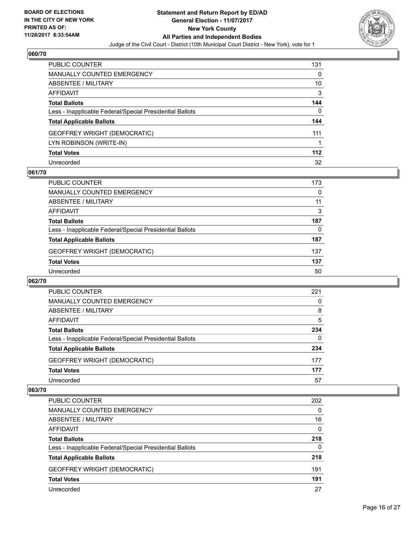

| PUBLIC COUNTER                                           | 131   |
|----------------------------------------------------------|-------|
| <b>MANUALLY COUNTED EMERGENCY</b>                        | 0     |
| <b>ABSENTEE / MILITARY</b>                               | 10    |
| <b>AFFIDAVIT</b>                                         | 3     |
| <b>Total Ballots</b>                                     | 144   |
| Less - Inapplicable Federal/Special Presidential Ballots | 0     |
| <b>Total Applicable Ballots</b>                          | 144   |
| <b>GEOFFREY WRIGHT (DEMOCRATIC)</b>                      | 111   |
| LYN ROBINSON (WRITE-IN)                                  |       |
| <b>Total Votes</b>                                       | $112$ |
| Unrecorded                                               | 32    |

#### **061/70**

| <b>PUBLIC COUNTER</b>                                    | 173 |
|----------------------------------------------------------|-----|
| MANUALLY COUNTED EMERGENCY                               | 0   |
| ABSENTEE / MILITARY                                      | 11  |
| AFFIDAVIT                                                | 3   |
| <b>Total Ballots</b>                                     | 187 |
| Less - Inapplicable Federal/Special Presidential Ballots | 0   |
| <b>Total Applicable Ballots</b>                          | 187 |
| <b>GEOFFREY WRIGHT (DEMOCRATIC)</b>                      | 137 |
| <b>Total Votes</b>                                       | 137 |
| Unrecorded                                               | 50  |

#### **062/70**

| PUBLIC COUNTER                                           | 221 |
|----------------------------------------------------------|-----|
| <b>MANUALLY COUNTED EMERGENCY</b>                        | 0   |
| <b>ABSENTEE / MILITARY</b>                               | 8   |
| AFFIDAVIT                                                | 5   |
| <b>Total Ballots</b>                                     | 234 |
| Less - Inapplicable Federal/Special Presidential Ballots | 0   |
| <b>Total Applicable Ballots</b>                          | 234 |
| <b>GEOFFREY WRIGHT (DEMOCRATIC)</b>                      | 177 |
| <b>Total Votes</b>                                       | 177 |
| Unrecorded                                               | 57  |

| PUBLIC COUNTER                                           | 202 |
|----------------------------------------------------------|-----|
| <b>MANUALLY COUNTED EMERGENCY</b>                        | 0   |
| <b>ABSENTEE / MILITARY</b>                               | 16  |
| AFFIDAVIT                                                | 0   |
| <b>Total Ballots</b>                                     | 218 |
| Less - Inapplicable Federal/Special Presidential Ballots | 0   |
| <b>Total Applicable Ballots</b>                          | 218 |
| GEOFFREY WRIGHT (DEMOCRATIC)                             | 191 |
| <b>Total Votes</b>                                       | 191 |
| Unrecorded                                               | 27  |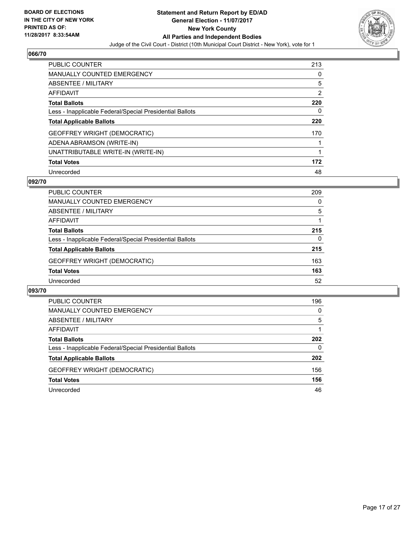

| <b>PUBLIC COUNTER</b>                                    | 213 |
|----------------------------------------------------------|-----|
| MANUALLY COUNTED EMERGENCY                               | 0   |
| ABSENTEE / MILITARY                                      | 5   |
| AFFIDAVIT                                                | 2   |
| <b>Total Ballots</b>                                     | 220 |
| Less - Inapplicable Federal/Special Presidential Ballots | 0   |
|                                                          |     |
| <b>Total Applicable Ballots</b>                          | 220 |
| <b>GEOFFREY WRIGHT (DEMOCRATIC)</b>                      | 170 |
| ADENA ABRAMSON (WRITE-IN)                                |     |
| UNATTRIBUTABLE WRITE-IN (WRITE-IN)                       |     |
| <b>Total Votes</b>                                       | 172 |

#### **092/70**

| <b>PUBLIC COUNTER</b>                                    | 209 |
|----------------------------------------------------------|-----|
| MANUALLY COUNTED EMERGENCY                               | 0   |
| ABSENTEE / MILITARY                                      | 5   |
| AFFIDAVIT                                                |     |
| <b>Total Ballots</b>                                     | 215 |
| Less - Inapplicable Federal/Special Presidential Ballots | 0   |
| <b>Total Applicable Ballots</b>                          | 215 |
| <b>GEOFFREY WRIGHT (DEMOCRATIC)</b>                      | 163 |
| <b>Total Votes</b>                                       | 163 |
| Unrecorded                                               | 52  |

| PUBLIC COUNTER                                           | 196 |
|----------------------------------------------------------|-----|
| <b>MANUALLY COUNTED EMERGENCY</b>                        | 0   |
| <b>ABSENTEE / MILITARY</b>                               | 5   |
| AFFIDAVIT                                                |     |
| <b>Total Ballots</b>                                     | 202 |
| Less - Inapplicable Federal/Special Presidential Ballots | 0   |
| <b>Total Applicable Ballots</b>                          | 202 |
| <b>GEOFFREY WRIGHT (DEMOCRATIC)</b>                      | 156 |
| <b>Total Votes</b>                                       | 156 |
| Unrecorded                                               | 46  |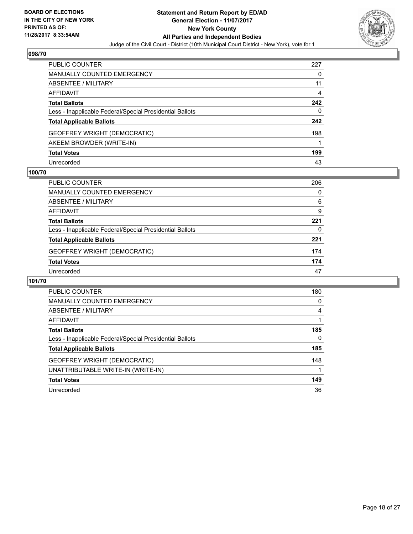

| <b>PUBLIC COUNTER</b>                                    | 227 |
|----------------------------------------------------------|-----|
| <b>MANUALLY COUNTED EMERGENCY</b>                        | 0   |
| <b>ABSENTEE / MILITARY</b>                               | 11  |
| <b>AFFIDAVIT</b>                                         | 4   |
| <b>Total Ballots</b>                                     | 242 |
| Less - Inapplicable Federal/Special Presidential Ballots | 0   |
| <b>Total Applicable Ballots</b>                          | 242 |
| <b>GEOFFREY WRIGHT (DEMOCRATIC)</b>                      | 198 |
| AKEEM BROWDER (WRITE-IN)                                 |     |
| <b>Total Votes</b>                                       | 199 |
| Unrecorded                                               | 43  |

#### **100/70**

| <b>PUBLIC COUNTER</b>                                    | 206 |
|----------------------------------------------------------|-----|
| MANUALLY COUNTED EMERGENCY                               | 0   |
| ABSENTEE / MILITARY                                      | 6   |
| AFFIDAVIT                                                | 9   |
| <b>Total Ballots</b>                                     | 221 |
| Less - Inapplicable Federal/Special Presidential Ballots | 0   |
| <b>Total Applicable Ballots</b>                          | 221 |
| <b>GEOFFREY WRIGHT (DEMOCRATIC)</b>                      | 174 |
| <b>Total Votes</b>                                       | 174 |
| Unrecorded                                               | 47  |

| <b>PUBLIC COUNTER</b>                                    | 180 |
|----------------------------------------------------------|-----|
| <b>MANUALLY COUNTED EMERGENCY</b>                        | 0   |
| ABSENTEE / MILITARY                                      | 4   |
| AFFIDAVIT                                                |     |
| <b>Total Ballots</b>                                     | 185 |
| Less - Inapplicable Federal/Special Presidential Ballots | 0   |
| <b>Total Applicable Ballots</b>                          | 185 |
| GEOFFREY WRIGHT (DEMOCRATIC)                             | 148 |
| UNATTRIBUTABLE WRITE-IN (WRITE-IN)                       |     |
| <b>Total Votes</b>                                       | 149 |
| Unrecorded                                               | 36  |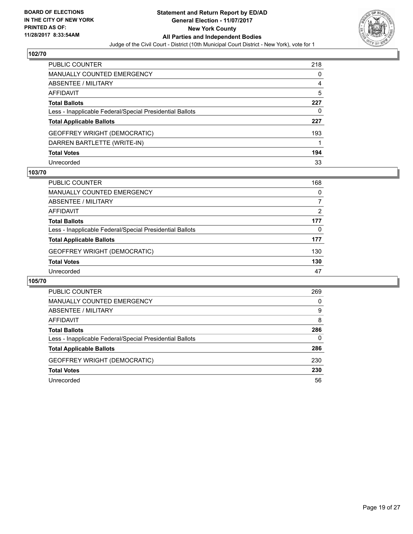

| <b>PUBLIC COUNTER</b>                                    | 218 |
|----------------------------------------------------------|-----|
| <b>MANUALLY COUNTED EMERGENCY</b>                        | 0   |
| <b>ABSENTEE / MILITARY</b>                               | 4   |
| AFFIDAVIT                                                | 5   |
| <b>Total Ballots</b>                                     | 227 |
| Less - Inapplicable Federal/Special Presidential Ballots | 0   |
| <b>Total Applicable Ballots</b>                          | 227 |
| <b>GEOFFREY WRIGHT (DEMOCRATIC)</b>                      | 193 |
| DARREN BARTLETTE (WRITE-IN)                              |     |
| <b>Total Votes</b>                                       | 194 |
| Unrecorded                                               | 33  |

#### **103/70**

| <b>PUBLIC COUNTER</b>                                    | 168      |
|----------------------------------------------------------|----------|
| MANUALLY COUNTED EMERGENCY                               | $\Omega$ |
| ABSENTEE / MILITARY                                      | 7        |
| AFFIDAVIT                                                | 2        |
| <b>Total Ballots</b>                                     | 177      |
| Less - Inapplicable Federal/Special Presidential Ballots | 0        |
| <b>Total Applicable Ballots</b>                          | 177      |
| <b>GEOFFREY WRIGHT (DEMOCRATIC)</b>                      | 130      |
| <b>Total Votes</b>                                       | 130      |
| Unrecorded                                               | 47       |

| PUBLIC COUNTER                                           | 269      |
|----------------------------------------------------------|----------|
| <b>MANUALLY COUNTED EMERGENCY</b>                        | $\Omega$ |
| ABSENTEE / MILITARY                                      | 9        |
| AFFIDAVIT                                                | 8        |
| <b>Total Ballots</b>                                     | 286      |
| Less - Inapplicable Federal/Special Presidential Ballots | 0        |
| <b>Total Applicable Ballots</b>                          | 286      |
| <b>GEOFFREY WRIGHT (DEMOCRATIC)</b>                      | 230      |
| <b>Total Votes</b>                                       | 230      |
| Unrecorded                                               | 56       |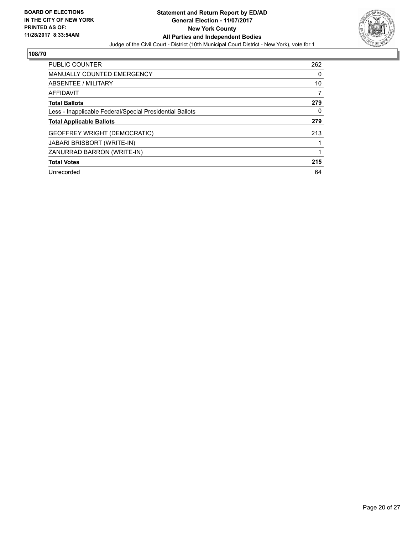

| <b>PUBLIC COUNTER</b>                                    | 262 |
|----------------------------------------------------------|-----|
| <b>MANUALLY COUNTED EMERGENCY</b>                        | 0   |
| ABSENTEE / MILITARY                                      | 10  |
| AFFIDAVIT                                                | 7   |
| <b>Total Ballots</b>                                     | 279 |
| Less - Inapplicable Federal/Special Presidential Ballots | 0   |
| <b>Total Applicable Ballots</b>                          | 279 |
| <b>GEOFFREY WRIGHT (DEMOCRATIC)</b>                      | 213 |
| <b>JABARI BRISBORT (WRITE-IN)</b>                        |     |
| ZANURRAD BARRON (WRITE-IN)                               |     |
| <b>Total Votes</b>                                       | 215 |
| Unrecorded                                               | 64  |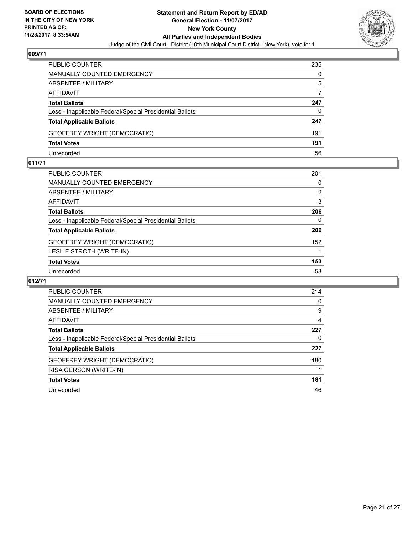

| <b>PUBLIC COUNTER</b>                                    | 235 |
|----------------------------------------------------------|-----|
| <b>MANUALLY COUNTED EMERGENCY</b>                        | 0   |
| <b>ABSENTEE / MILITARY</b>                               | 5   |
| AFFIDAVIT                                                |     |
| <b>Total Ballots</b>                                     | 247 |
| Less - Inapplicable Federal/Special Presidential Ballots | 0   |
| <b>Total Applicable Ballots</b>                          | 247 |
| <b>GEOFFREY WRIGHT (DEMOCRATIC)</b>                      | 191 |
| <b>Total Votes</b>                                       | 191 |
| Unrecorded                                               | 56  |

#### **011/71**

| <b>PUBLIC COUNTER</b>                                    | 201 |
|----------------------------------------------------------|-----|
| MANUALLY COUNTED EMERGENCY                               | 0   |
| ABSENTEE / MILITARY                                      | 2   |
| AFFIDAVIT                                                | 3   |
| <b>Total Ballots</b>                                     | 206 |
| Less - Inapplicable Federal/Special Presidential Ballots | 0   |
| <b>Total Applicable Ballots</b>                          | 206 |
| <b>GEOFFREY WRIGHT (DEMOCRATIC)</b>                      | 152 |
| LESLIE STROTH (WRITE-IN)                                 |     |
| <b>Total Votes</b>                                       | 153 |
| Unrecorded                                               | 53  |
|                                                          |     |

| <b>PUBLIC COUNTER</b>                                    | 214 |
|----------------------------------------------------------|-----|
| MANUALLY COUNTED EMERGENCY                               | 0   |
| ABSENTEE / MILITARY                                      | 9   |
| AFFIDAVIT                                                | 4   |
| <b>Total Ballots</b>                                     | 227 |
| Less - Inapplicable Federal/Special Presidential Ballots | 0   |
| <b>Total Applicable Ballots</b>                          | 227 |
| <b>GEOFFREY WRIGHT (DEMOCRATIC)</b>                      | 180 |
| RISA GERSON (WRITE-IN)                                   |     |
| <b>Total Votes</b>                                       | 181 |
| Unrecorded                                               | 46  |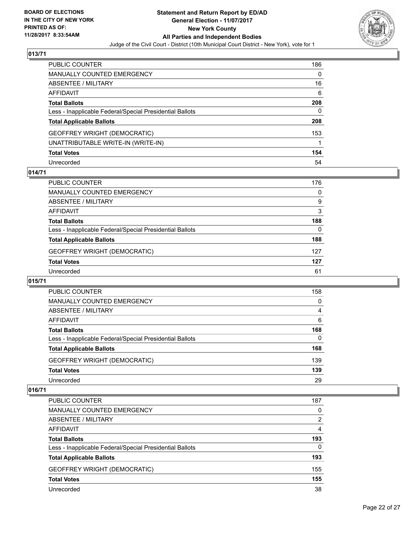

| PUBLIC COUNTER                                           | 186 |
|----------------------------------------------------------|-----|
| MANUALLY COUNTED EMERGENCY                               | 0   |
| <b>ABSENTEE / MILITARY</b>                               | 16  |
| AFFIDAVIT                                                | 6   |
| <b>Total Ballots</b>                                     | 208 |
| Less - Inapplicable Federal/Special Presidential Ballots | 0   |
| <b>Total Applicable Ballots</b>                          | 208 |
| GEOFFREY WRIGHT (DEMOCRATIC)                             | 153 |
| UNATTRIBUTABLE WRITE-IN (WRITE-IN)                       |     |
| <b>Total Votes</b>                                       | 154 |
| Unrecorded                                               | 54  |

## **014/71**

| <b>PUBLIC COUNTER</b>                                    | 176      |
|----------------------------------------------------------|----------|
| MANUALLY COUNTED EMERGENCY                               | $\Omega$ |
| ABSENTEE / MILITARY                                      | 9        |
| AFFIDAVIT                                                | 3        |
| <b>Total Ballots</b>                                     | 188      |
| Less - Inapplicable Federal/Special Presidential Ballots | $\Omega$ |
| <b>Total Applicable Ballots</b>                          | 188      |
| <b>GEOFFREY WRIGHT (DEMOCRATIC)</b>                      | 127      |
| <b>Total Votes</b>                                       | 127      |
| Unrecorded                                               | 61       |

#### **015/71**

| <b>PUBLIC COUNTER</b>                                    | 158 |
|----------------------------------------------------------|-----|
| <b>MANUALLY COUNTED EMERGENCY</b>                        | 0   |
| ABSENTEE / MILITARY                                      | 4   |
| AFFIDAVIT                                                | 6   |
| <b>Total Ballots</b>                                     | 168 |
| Less - Inapplicable Federal/Special Presidential Ballots | 0   |
| <b>Total Applicable Ballots</b>                          | 168 |
| <b>GEOFFREY WRIGHT (DEMOCRATIC)</b>                      | 139 |
| <b>Total Votes</b>                                       | 139 |
| Unrecorded                                               | 29  |

| <b>PUBLIC COUNTER</b>                                    | 187 |
|----------------------------------------------------------|-----|
| <b>MANUALLY COUNTED EMERGENCY</b>                        | 0   |
| ABSENTEE / MILITARY                                      | 2   |
| AFFIDAVIT                                                | 4   |
| <b>Total Ballots</b>                                     | 193 |
| Less - Inapplicable Federal/Special Presidential Ballots | 0   |
| <b>Total Applicable Ballots</b>                          | 193 |
| <b>GEOFFREY WRIGHT (DEMOCRATIC)</b>                      | 155 |
| <b>Total Votes</b>                                       | 155 |
| Unrecorded                                               | 38  |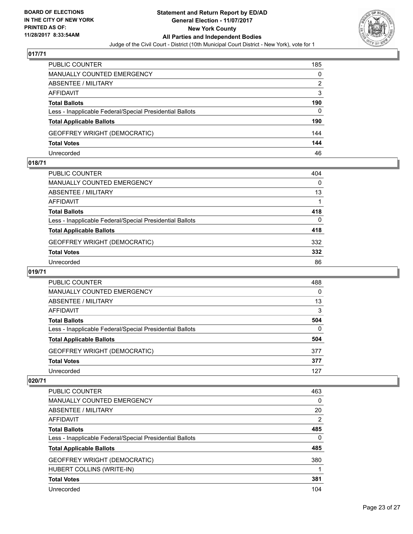

| PUBLIC COUNTER                                           | 185 |
|----------------------------------------------------------|-----|
| <b>MANUALLY COUNTED EMERGENCY</b>                        | 0   |
| ABSENTEE / MILITARY                                      | 2   |
| AFFIDAVIT                                                | 3   |
| <b>Total Ballots</b>                                     | 190 |
| Less - Inapplicable Federal/Special Presidential Ballots | 0   |
| <b>Total Applicable Ballots</b>                          | 190 |
| <b>GEOFFREY WRIGHT (DEMOCRATIC)</b>                      | 144 |
| <b>Total Votes</b>                                       | 144 |
| Unrecorded                                               | 46  |

#### **018/71**

| <b>PUBLIC COUNTER</b>                                    | 404 |
|----------------------------------------------------------|-----|
| MANUALLY COUNTED EMERGENCY                               | 0   |
| ABSENTEE / MILITARY                                      | 13  |
| AFFIDAVIT                                                |     |
| <b>Total Ballots</b>                                     | 418 |
| Less - Inapplicable Federal/Special Presidential Ballots | 0   |
| <b>Total Applicable Ballots</b>                          | 418 |
| <b>GEOFFREY WRIGHT (DEMOCRATIC)</b>                      | 332 |
| <b>Total Votes</b>                                       | 332 |
| Unrecorded                                               | 86  |
|                                                          |     |

## **019/71**

| <b>PUBLIC COUNTER</b>                                    | 488      |
|----------------------------------------------------------|----------|
| MANUALLY COUNTED EMERGENCY                               | 0        |
| ABSENTEE / MILITARY                                      | 13       |
| AFFIDAVIT                                                | 3        |
| <b>Total Ballots</b>                                     | 504      |
| Less - Inapplicable Federal/Special Presidential Ballots | $\Omega$ |
| <b>Total Applicable Ballots</b>                          | 504      |
| GEOFFREY WRIGHT (DEMOCRATIC)                             | 377      |
| <b>Total Votes</b>                                       | 377      |
| Unrecorded                                               | 127      |

| <b>PUBLIC COUNTER</b>                                    | 463            |
|----------------------------------------------------------|----------------|
| <b>MANUALLY COUNTED EMERGENCY</b>                        | 0              |
| ABSENTEE / MILITARY                                      | 20             |
| AFFIDAVIT                                                | $\overline{2}$ |
| <b>Total Ballots</b>                                     | 485            |
| Less - Inapplicable Federal/Special Presidential Ballots | 0              |
| <b>Total Applicable Ballots</b>                          | 485            |
| GEOFFREY WRIGHT (DEMOCRATIC)                             | 380            |
| HUBERT COLLINS (WRITE-IN)                                |                |
| <b>Total Votes</b>                                       | 381            |
| Unrecorded                                               | 104            |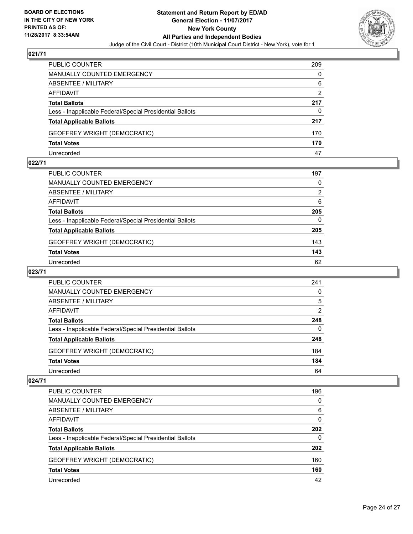

| <b>PUBLIC COUNTER</b>                                    | 209 |
|----------------------------------------------------------|-----|
| MANUALLY COUNTED EMERGENCY                               | 0   |
| <b>ABSENTEE / MILITARY</b>                               | 6   |
| AFFIDAVIT                                                | 2   |
| <b>Total Ballots</b>                                     | 217 |
| Less - Inapplicable Federal/Special Presidential Ballots | 0   |
| <b>Total Applicable Ballots</b>                          | 217 |
| <b>GEOFFREY WRIGHT (DEMOCRATIC)</b>                      | 170 |
| <b>Total Votes</b>                                       | 170 |
| Unrecorded                                               | 47  |

#### **022/71**

| PUBLIC COUNTER                                           | 197 |
|----------------------------------------------------------|-----|
| <b>MANUALLY COUNTED EMERGENCY</b>                        | 0   |
| <b>ABSENTEE / MILITARY</b>                               | 2   |
| <b>AFFIDAVIT</b>                                         | 6   |
| <b>Total Ballots</b>                                     | 205 |
| Less - Inapplicable Federal/Special Presidential Ballots | 0   |
| <b>Total Applicable Ballots</b>                          | 205 |
| GEOFFREY WRIGHT (DEMOCRATIC)                             | 143 |
| <b>Total Votes</b>                                       | 143 |
| Unrecorded                                               | 62  |
|                                                          |     |

## **023/71**

| PUBLIC COUNTER                                           | 241      |
|----------------------------------------------------------|----------|
| MANUALLY COUNTED EMERGENCY                               | 0        |
| ABSENTEE / MILITARY                                      | 5        |
| AFFIDAVIT                                                | 2        |
| <b>Total Ballots</b>                                     | 248      |
| Less - Inapplicable Federal/Special Presidential Ballots | $\Omega$ |
| <b>Total Applicable Ballots</b>                          | 248      |
| <b>GEOFFREY WRIGHT (DEMOCRATIC)</b>                      | 184      |
| <b>Total Votes</b>                                       | 184      |
| Unrecorded                                               | 64       |

| <b>PUBLIC COUNTER</b>                                    | 196 |
|----------------------------------------------------------|-----|
| <b>MANUALLY COUNTED EMERGENCY</b>                        | 0   |
| <b>ABSENTEE / MILITARY</b>                               | 6   |
| AFFIDAVIT                                                | 0   |
| <b>Total Ballots</b>                                     | 202 |
| Less - Inapplicable Federal/Special Presidential Ballots | 0   |
| <b>Total Applicable Ballots</b>                          | 202 |
| <b>GEOFFREY WRIGHT (DEMOCRATIC)</b>                      | 160 |
| <b>Total Votes</b>                                       | 160 |
| Unrecorded                                               | 42  |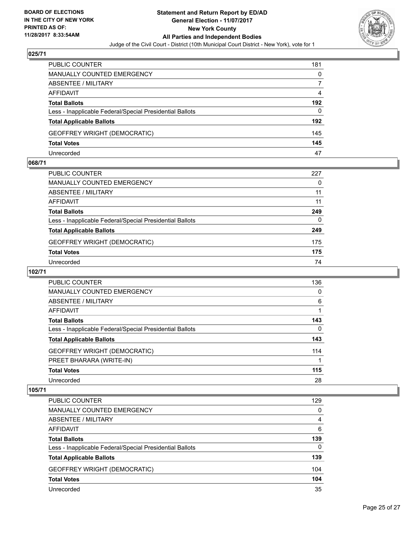

| <b>PUBLIC COUNTER</b>                                    | 181 |
|----------------------------------------------------------|-----|
| MANUALLY COUNTED EMERGENCY                               | 0   |
| <b>ABSENTEE / MILITARY</b>                               |     |
| AFFIDAVIT                                                | 4   |
| <b>Total Ballots</b>                                     | 192 |
| Less - Inapplicable Federal/Special Presidential Ballots | 0   |
| <b>Total Applicable Ballots</b>                          | 192 |
| <b>GEOFFREY WRIGHT (DEMOCRATIC)</b>                      | 145 |
| <b>Total Votes</b>                                       | 145 |
| Unrecorded                                               | 47  |

#### **068/71**

| PUBLIC COUNTER                                           | 227 |
|----------------------------------------------------------|-----|
| <b>MANUALLY COUNTED EMERGENCY</b>                        | 0   |
| ABSENTEE / MILITARY                                      | 11  |
| AFFIDAVIT                                                | 11  |
| <b>Total Ballots</b>                                     | 249 |
| Less - Inapplicable Federal/Special Presidential Ballots | 0   |
| <b>Total Applicable Ballots</b>                          | 249 |
| <b>GEOFFREY WRIGHT (DEMOCRATIC)</b>                      | 175 |
| <b>Total Votes</b>                                       | 175 |
| Unrecorded                                               | 74  |

## **102/71**

| <b>PUBLIC COUNTER</b>                                    | 136 |
|----------------------------------------------------------|-----|
| MANUALLY COUNTED EMERGENCY                               | 0   |
| ABSENTEE / MILITARY                                      | 6   |
| AFFIDAVIT                                                |     |
| <b>Total Ballots</b>                                     | 143 |
| Less - Inapplicable Federal/Special Presidential Ballots | 0   |
| <b>Total Applicable Ballots</b>                          | 143 |
| <b>GEOFFREY WRIGHT (DEMOCRATIC)</b>                      | 114 |
| PREET BHARARA (WRITE-IN)                                 |     |
| <b>Total Votes</b>                                       | 115 |
| Unrecorded                                               | 28  |

| <b>PUBLIC COUNTER</b>                                    | 129 |
|----------------------------------------------------------|-----|
| <b>MANUALLY COUNTED EMERGENCY</b>                        | 0   |
| ABSENTEE / MILITARY                                      | 4   |
| AFFIDAVIT                                                | 6   |
| <b>Total Ballots</b>                                     | 139 |
| Less - Inapplicable Federal/Special Presidential Ballots | 0   |
| <b>Total Applicable Ballots</b>                          | 139 |
| <b>GEOFFREY WRIGHT (DEMOCRATIC)</b>                      | 104 |
| <b>Total Votes</b>                                       | 104 |
| Unrecorded                                               | 35  |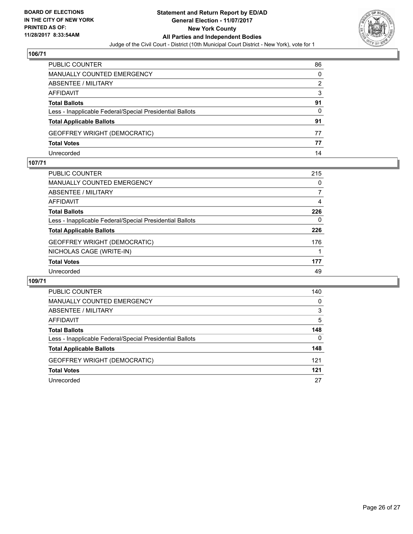

| PUBLIC COUNTER                                           | 86 |
|----------------------------------------------------------|----|
| <b>MANUALLY COUNTED EMERGENCY</b>                        | 0  |
| <b>ABSENTEE / MILITARY</b>                               | 2  |
| AFFIDAVIT                                                | 3  |
| <b>Total Ballots</b>                                     | 91 |
| Less - Inapplicable Federal/Special Presidential Ballots | 0  |
| <b>Total Applicable Ballots</b>                          | 91 |
| <b>GEOFFREY WRIGHT (DEMOCRATIC)</b>                      | 77 |
| <b>Total Votes</b>                                       | 77 |
| Unrecorded                                               | 14 |

#### **107/71**

| <b>PUBLIC COUNTER</b>                                    | 215 |
|----------------------------------------------------------|-----|
| <b>MANUALLY COUNTED EMERGENCY</b>                        | 0   |
| <b>ABSENTEE / MILITARY</b>                               |     |
| <b>AFFIDAVIT</b>                                         | 4   |
| <b>Total Ballots</b>                                     | 226 |
| Less - Inapplicable Federal/Special Presidential Ballots | 0   |
| <b>Total Applicable Ballots</b>                          | 226 |
| <b>GEOFFREY WRIGHT (DEMOCRATIC)</b>                      | 176 |
| NICHOLAS CAGE (WRITE-IN)                                 |     |
| <b>Total Votes</b>                                       | 177 |
| Unrecorded                                               | 49  |
|                                                          |     |

| <b>PUBLIC COUNTER</b>                                    | 140      |
|----------------------------------------------------------|----------|
| MANUALLY COUNTED EMERGENCY                               | $\Omega$ |
| ABSENTEE / MILITARY                                      | 3        |
| AFFIDAVIT                                                | 5        |
| <b>Total Ballots</b>                                     | 148      |
| Less - Inapplicable Federal/Special Presidential Ballots | 0        |
| <b>Total Applicable Ballots</b>                          | 148      |
| <b>GEOFFREY WRIGHT (DEMOCRATIC)</b>                      | 121      |
| <b>Total Votes</b>                                       | 121      |
| Unrecorded                                               | 27       |